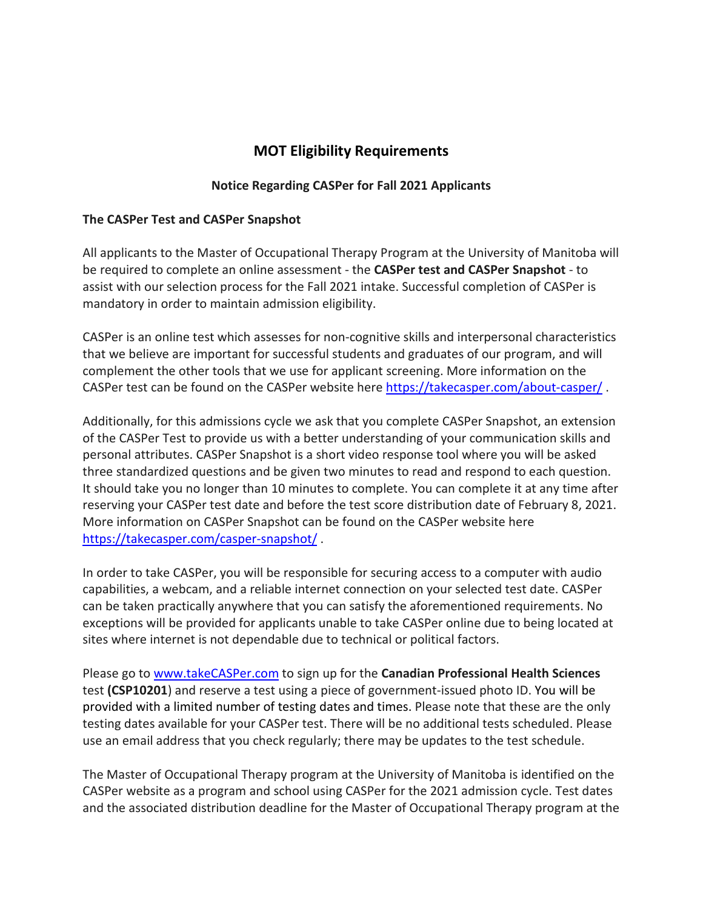## **MOT Eligibility Requirements**

## **Notice Regarding CASPer for Fall 2021 Applicants**

## **The CASPer Test and CASPer Snapshot**

All applicants to the Master of Occupational Therapy Program at the University of Manitoba will be required to complete an online assessment - the **CASPer test and CASPer Snapshot** - to assist with our selection process for the Fall 2021 intake. Successful completion of CASPer is mandatory in order to maintain admission eligibility.

CASPer is an online test which assesses for non-cognitive skills and interpersonal characteristics that we believe are important for successful students and graduates of our program, and will complement the other tools that we use for applicant screening. More information on the CASPer test can be found on the CASPer website here<https://takecasper.com/about-casper/> .

Additionally, for this admissions cycle we ask that you complete CASPer Snapshot, an extension of the CASPer Test to provide us with a better understanding of your communication skills and personal attributes. CASPer Snapshot is a short video response tool where you will be asked three standardized questions and be given two minutes to read and respond to each question. It should take you no longer than 10 minutes to complete. You can complete it at any time after reserving your CASPer test date and before the test score distribution date of February 8, 2021. More information on CASPer Snapshot can be found on the CASPer website here <https://takecasper.com/casper-snapshot/> .

In order to take CASPer, you will be responsible for securing access to a computer with audio capabilities, a webcam, and a reliable internet connection on your selected test date. CASPer can be taken practically anywhere that you can satisfy the aforementioned requirements. No exceptions will be provided for applicants unable to take CASPer online due to being located at sites where internet is not dependable due to technical or political factors.

Please go to [www.takeCASPer.com](http://www.takecasper.com/) to sign up for the **Canadian Professional Health Sciences** test **(CSP10201**) and reserve a test using a piece of government-issued photo ID. You will be provided with a limited number of testing dates and times. Please note that these are the only testing dates available for your CASPer test. There will be no additional tests scheduled. Please use an email address that you check regularly; there may be updates to the test schedule.

The Master of Occupational Therapy program at the University of Manitoba is identified on the CASPer website as a program and school using CASPer for the 2021 admission cycle. Test dates and the associated distribution deadline for the Master of Occupational Therapy program at the